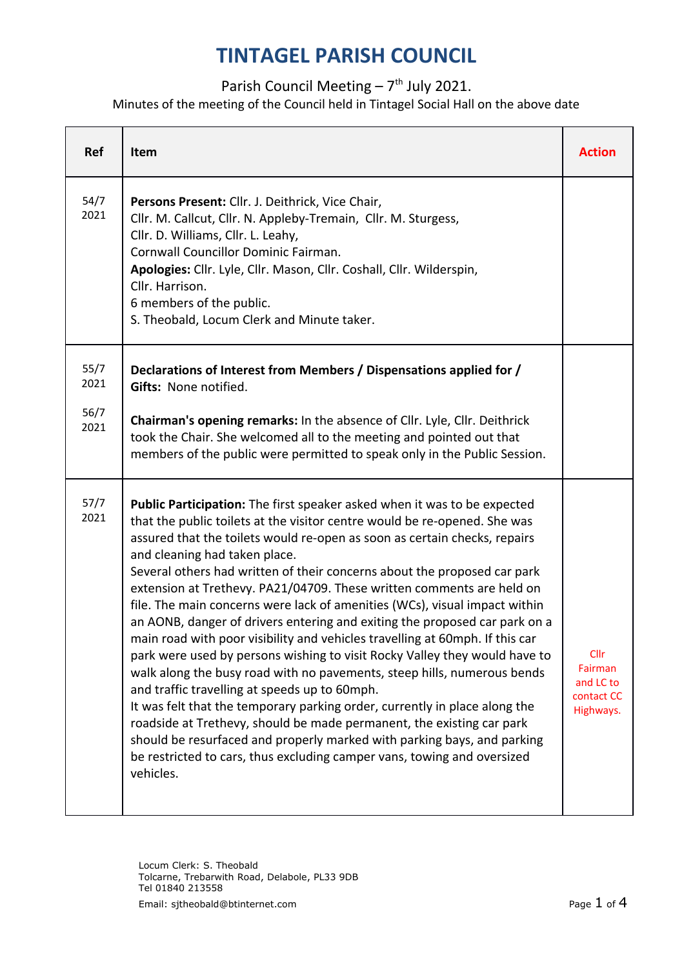#### Parish Council Meeting  $-7$ <sup>th</sup> July 2021.

Minutes of the meeting of the Council held in Tintagel Social Hall on the above date

| <b>Ref</b>   | Item                                                                                                                                                                                                                                                                                                                                                                                                                                                                                                                                                                                                                                                                                                                                                                                                                                                                                                                                                                                                                                                                                                                                                                                                     | <b>Action</b>                                                  |
|--------------|----------------------------------------------------------------------------------------------------------------------------------------------------------------------------------------------------------------------------------------------------------------------------------------------------------------------------------------------------------------------------------------------------------------------------------------------------------------------------------------------------------------------------------------------------------------------------------------------------------------------------------------------------------------------------------------------------------------------------------------------------------------------------------------------------------------------------------------------------------------------------------------------------------------------------------------------------------------------------------------------------------------------------------------------------------------------------------------------------------------------------------------------------------------------------------------------------------|----------------------------------------------------------------|
| 54/7<br>2021 | Persons Present: Cllr. J. Deithrick, Vice Chair,<br>Cllr. M. Callcut, Cllr. N. Appleby-Tremain, Cllr. M. Sturgess,<br>Cllr. D. Williams, Cllr. L. Leahy,<br>Cornwall Councillor Dominic Fairman.<br>Apologies: Cllr. Lyle, Cllr. Mason, Cllr. Coshall, Cllr. Wilderspin,<br>Cllr. Harrison.<br>6 members of the public.<br>S. Theobald, Locum Clerk and Minute taker.                                                                                                                                                                                                                                                                                                                                                                                                                                                                                                                                                                                                                                                                                                                                                                                                                                    |                                                                |
| 55/7<br>2021 | Declarations of Interest from Members / Dispensations applied for /<br>Gifts: None notified.                                                                                                                                                                                                                                                                                                                                                                                                                                                                                                                                                                                                                                                                                                                                                                                                                                                                                                                                                                                                                                                                                                             |                                                                |
| 56/7<br>2021 | Chairman's opening remarks: In the absence of Cllr. Lyle, Cllr. Deithrick<br>took the Chair. She welcomed all to the meeting and pointed out that<br>members of the public were permitted to speak only in the Public Session.                                                                                                                                                                                                                                                                                                                                                                                                                                                                                                                                                                                                                                                                                                                                                                                                                                                                                                                                                                           |                                                                |
| 57/7<br>2021 | Public Participation: The first speaker asked when it was to be expected<br>that the public toilets at the visitor centre would be re-opened. She was<br>assured that the toilets would re-open as soon as certain checks, repairs<br>and cleaning had taken place.<br>Several others had written of their concerns about the proposed car park<br>extension at Trethevy. PA21/04709. These written comments are held on<br>file. The main concerns were lack of amenities (WCs), visual impact within<br>an AONB, danger of drivers entering and exiting the proposed car park on a<br>main road with poor visibility and vehicles travelling at 60mph. If this car<br>park were used by persons wishing to visit Rocky Valley they would have to<br>walk along the busy road with no pavements, steep hills, numerous bends<br>and traffic travelling at speeds up to 60mph.<br>It was felt that the temporary parking order, currently in place along the<br>roadside at Trethevy, should be made permanent, the existing car park<br>should be resurfaced and properly marked with parking bays, and parking<br>be restricted to cars, thus excluding camper vans, towing and oversized<br>vehicles. | <b>Cllr</b><br>Fairman<br>and LC to<br>contact CC<br>Highways. |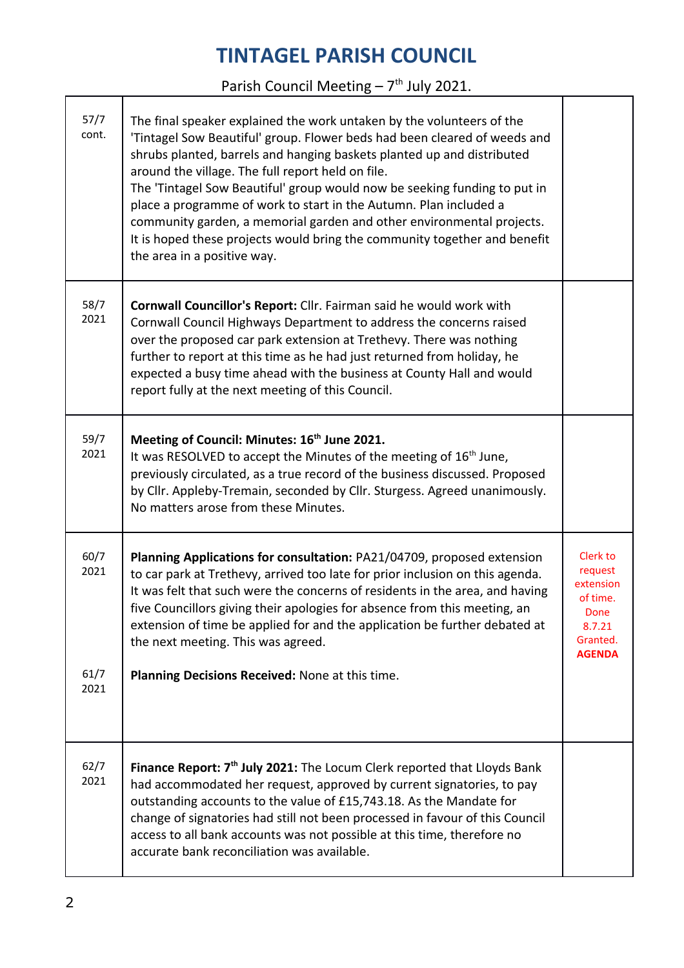Parish Council Meeting  $-7<sup>th</sup>$  July 2021.

| 57/7<br>cont. | The final speaker explained the work untaken by the volunteers of the<br>'Tintagel Sow Beautiful' group. Flower beds had been cleared of weeds and<br>shrubs planted, barrels and hanging baskets planted up and distributed<br>around the village. The full report held on file.<br>The 'Tintagel Sow Beautiful' group would now be seeking funding to put in<br>place a programme of work to start in the Autumn. Plan included a<br>community garden, a memorial garden and other environmental projects.<br>It is hoped these projects would bring the community together and benefit<br>the area in a positive way. |                                                                                             |
|---------------|--------------------------------------------------------------------------------------------------------------------------------------------------------------------------------------------------------------------------------------------------------------------------------------------------------------------------------------------------------------------------------------------------------------------------------------------------------------------------------------------------------------------------------------------------------------------------------------------------------------------------|---------------------------------------------------------------------------------------------|
| 58/7<br>2021  | Cornwall Councillor's Report: Cllr. Fairman said he would work with<br>Cornwall Council Highways Department to address the concerns raised<br>over the proposed car park extension at Trethevy. There was nothing<br>further to report at this time as he had just returned from holiday, he<br>expected a busy time ahead with the business at County Hall and would<br>report fully at the next meeting of this Council.                                                                                                                                                                                               |                                                                                             |
| 59/7<br>2021  | Meeting of Council: Minutes: 16 <sup>th</sup> June 2021.<br>It was RESOLVED to accept the Minutes of the meeting of 16 <sup>th</sup> June,<br>previously circulated, as a true record of the business discussed. Proposed<br>by Cllr. Appleby-Tremain, seconded by Cllr. Sturgess. Agreed unanimously.<br>No matters arose from these Minutes.                                                                                                                                                                                                                                                                           |                                                                                             |
| 60/7<br>2021  | Planning Applications for consultation: PA21/04709, proposed extension<br>to car park at Trethevy, arrived too late for prior inclusion on this agenda.<br>It was felt that such were the concerns of residents in the area, and having<br>five Councillors giving their apologies for absence from this meeting, an<br>extension of time be applied for and the application be further debated at<br>the next meeting. This was agreed.                                                                                                                                                                                 | Clerk to<br>request<br>extension<br>of time.<br>Done<br>8.7.21<br>Granted.<br><b>AGENDA</b> |
| 61/7<br>2021  | Planning Decisions Received: None at this time.                                                                                                                                                                                                                                                                                                                                                                                                                                                                                                                                                                          |                                                                                             |
| 62/7<br>2021  | Finance Report: 7 <sup>th</sup> July 2021: The Locum Clerk reported that Lloyds Bank<br>had accommodated her request, approved by current signatories, to pay<br>outstanding accounts to the value of £15,743.18. As the Mandate for<br>change of signatories had still not been processed in favour of this Council<br>access to all bank accounts was not possible at this time, therefore no<br>accurate bank reconciliation was available.                                                                                                                                                                           |                                                                                             |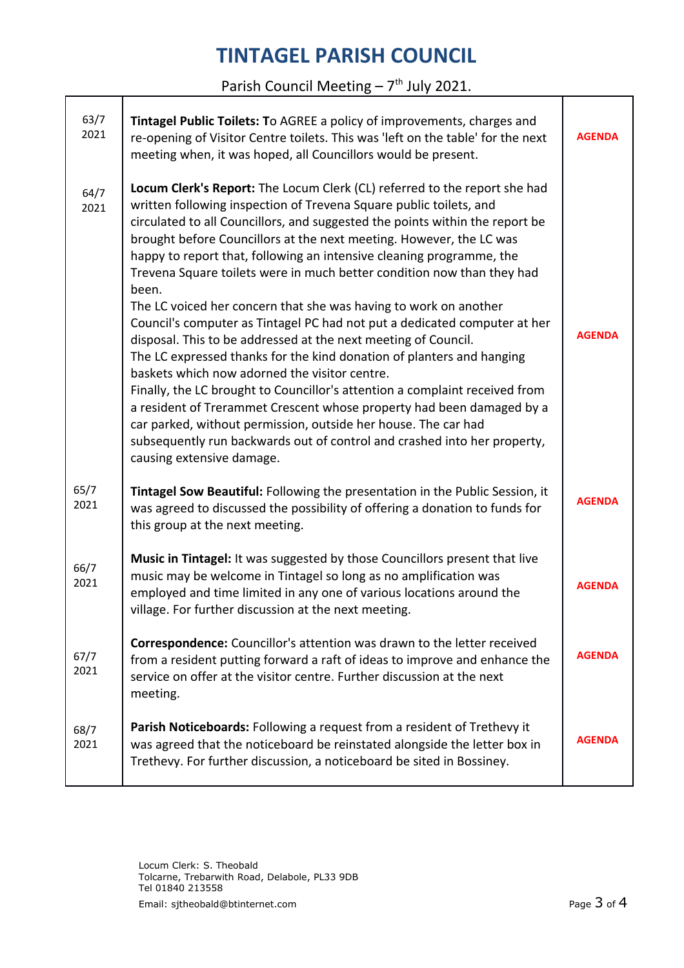Parish Council Meeting  $-7<sup>th</sup>$  July 2021.

| 63/7<br>2021 | Tintagel Public Toilets: To AGREE a policy of improvements, charges and<br>re-opening of Visitor Centre toilets. This was 'left on the table' for the next<br>meeting when, it was hoped, all Councillors would be present.                                                                                                                                                                                                                                                                                                                                                                                                                                                                                                                                                                                                                                                                                                                                                                                                                                                                                                                       | <b>AGENDA</b> |
|--------------|---------------------------------------------------------------------------------------------------------------------------------------------------------------------------------------------------------------------------------------------------------------------------------------------------------------------------------------------------------------------------------------------------------------------------------------------------------------------------------------------------------------------------------------------------------------------------------------------------------------------------------------------------------------------------------------------------------------------------------------------------------------------------------------------------------------------------------------------------------------------------------------------------------------------------------------------------------------------------------------------------------------------------------------------------------------------------------------------------------------------------------------------------|---------------|
| 64/7<br>2021 | Locum Clerk's Report: The Locum Clerk (CL) referred to the report she had<br>written following inspection of Trevena Square public toilets, and<br>circulated to all Councillors, and suggested the points within the report be<br>brought before Councillors at the next meeting. However, the LC was<br>happy to report that, following an intensive cleaning programme, the<br>Trevena Square toilets were in much better condition now than they had<br>been.<br>The LC voiced her concern that she was having to work on another<br>Council's computer as Tintagel PC had not put a dedicated computer at her<br>disposal. This to be addressed at the next meeting of Council.<br>The LC expressed thanks for the kind donation of planters and hanging<br>baskets which now adorned the visitor centre.<br>Finally, the LC brought to Councillor's attention a complaint received from<br>a resident of Trerammet Crescent whose property had been damaged by a<br>car parked, without permission, outside her house. The car had<br>subsequently run backwards out of control and crashed into her property,<br>causing extensive damage. | <b>AGENDA</b> |
| 65/7<br>2021 | Tintagel Sow Beautiful: Following the presentation in the Public Session, it<br>was agreed to discussed the possibility of offering a donation to funds for<br>this group at the next meeting.                                                                                                                                                                                                                                                                                                                                                                                                                                                                                                                                                                                                                                                                                                                                                                                                                                                                                                                                                    | <b>AGENDA</b> |
| 66/7<br>2021 | Music in Tintagel: It was suggested by those Councillors present that live<br>music may be welcome in Tintagel so long as no amplification was<br>employed and time limited in any one of various locations around the<br>village. For further discussion at the next meeting.                                                                                                                                                                                                                                                                                                                                                                                                                                                                                                                                                                                                                                                                                                                                                                                                                                                                    | <b>AGENDA</b> |
| 67/7<br>2021 | <b>Correspondence:</b> Councillor's attention was drawn to the letter received<br>from a resident putting forward a raft of ideas to improve and enhance the<br>service on offer at the visitor centre. Further discussion at the next<br>meeting.                                                                                                                                                                                                                                                                                                                                                                                                                                                                                                                                                                                                                                                                                                                                                                                                                                                                                                | <b>AGENDA</b> |
| 68/7<br>2021 | Parish Noticeboards: Following a request from a resident of Trethevy it<br>was agreed that the noticeboard be reinstated alongside the letter box in<br>Trethevy. For further discussion, a noticeboard be sited in Bossiney.                                                                                                                                                                                                                                                                                                                                                                                                                                                                                                                                                                                                                                                                                                                                                                                                                                                                                                                     | <b>AGENDA</b> |